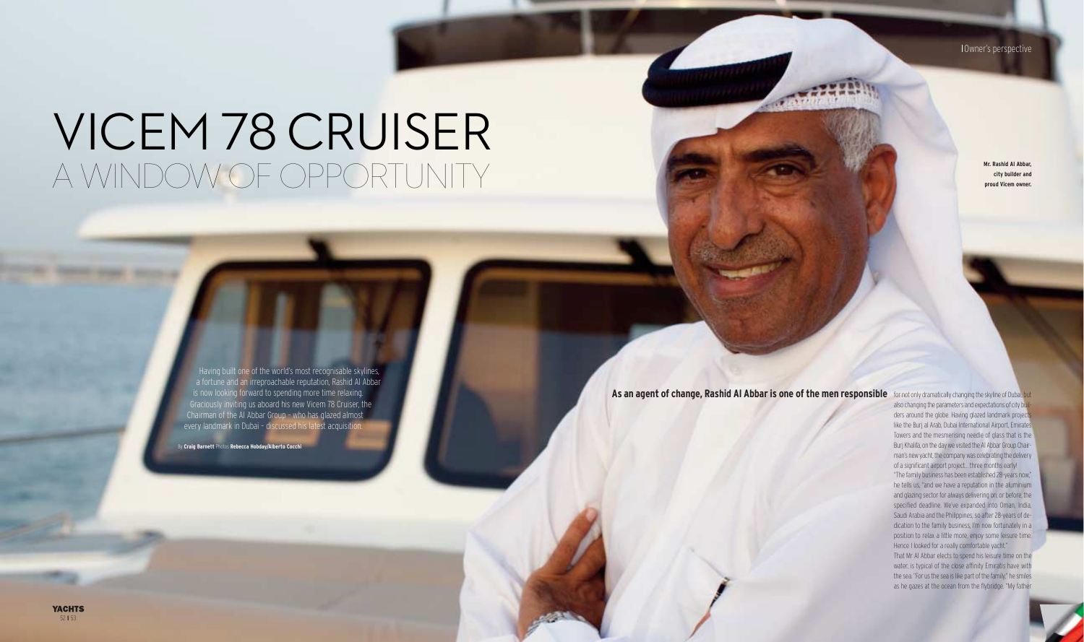**YACHTS** 52 **I** 53

### Owner's perspective

also changing the parameters and expectations of city builders around the globe. Having glazed landmark project like the Burj al Arab, Dubai International Airport, Emirates Towers and the mesmerising needle of glass that is the Burj Khalifa, on the day we visited the Al Abbar Group Chairman's new yacht, the company was celebrating the delivery of a significant airport project… three months early!

"The family business has been established 28-years now," he tells us, "and we have a reputation in the aluminium and glazing sector for always delivering on, or before, the specified deadline. We've expanded into Oman, India, Saudi Arabia and the Philippines; so after 28-years of dedication to the family business, I'm now fortunately in a position to relax a little more, enjoy some leisure time. Hence I looked for a really comfortable yacht."

That Mr Al Abbar elects to spend his leisure time on the water, is typical of the close affinity Emiratis have with the sea. "For us the sea is like part of the family," he smiles as he gazes at the ocean from the flybridge. "My father

**Mr. Rashid Al Abbar, city builder and proud Vicem owner.**

#### As an agent of change, Rashid Al Abbar is one of the men responsible for not only dramatically changing the skyline of Dubai, but

# VICEM 78 CRUISER A WINDOW OF OPPORTUNITY

Having built one of the world's most recognisable skylines, a fortune and an irreproachable reputation, Rashid Al Abbar is now looking forward to spending more time relaxing. Graciously inviting us aboard his new Vicem 78 Cruiser, the Chairman of the Al Abbar Group – who has glazed almost every landmark in Dubai – discussed his latest acquisition.

By **Craig Barnett** Photos **Rebecca Hobday/Alberto Cocchi**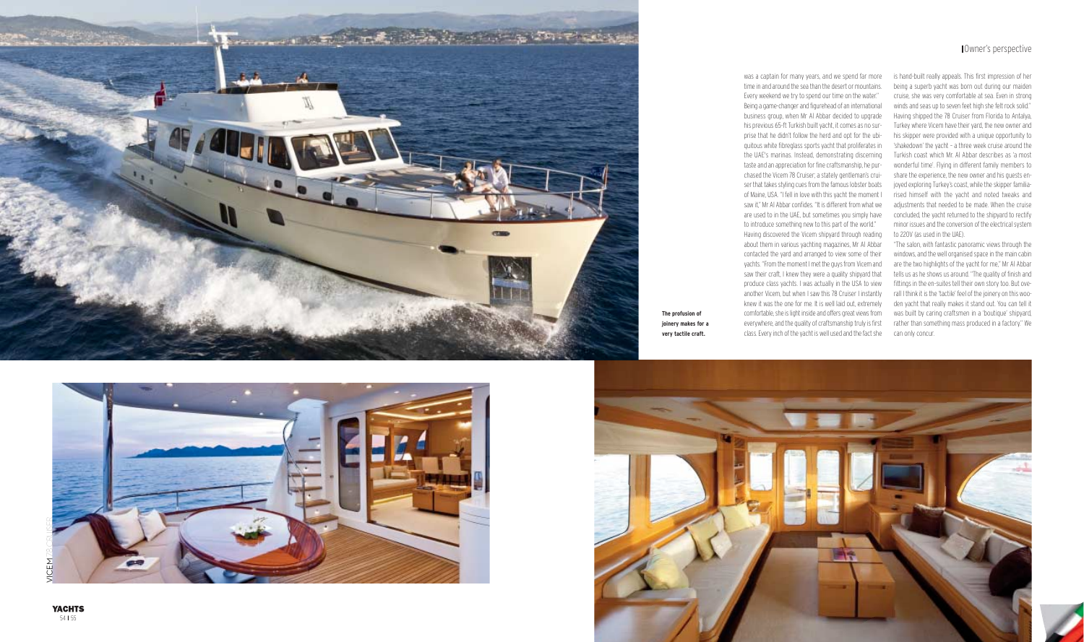

was a captain for many years, and we spend far more time in and around the sea than the desert or mountains. Every weekend we try to spend our time on the water."

Being a game-changer and figurehead of an international business group, when Mr Al Abbar decided to upgrade his previous 65-ft Turkish built yacht, it comes as no surprise that he didn't follow the herd and opt for the ubiquitous white fibreglass sports yacht that proliferates in the UAE's marinas. Instead, demonstrating discerning taste and an appreciation for fine craftsmanship, he purchased the Vicem 78 Cruiser; a stately gentleman's cruiser that takes styling cues from the famous lobster boats of Maine, USA. "I fell in love with this yacht the moment I saw it," Mr Al Abbar confides. "It is different from what we are used to in the UAE, but sometimes you simply have to introduce something new to this part of the world."

Having discovered the Vicem shipyard through reading about them in various yachting magazines, Mr Al Abbar contacted the yard and arranged to view some of their yachts. "From the moment I met the guys from Vicem and saw their craft, I knew they were a quality shipyard that produce class yachts. I was actually in the USA to view another Vicem, but when I saw this 78 Cruiser I instantly knew it was the one for me. It is well laid out, extremely comfortable, she is light inside and offers great views from everywhere, and the quality of craftsmanship truly is first class. Every inch of the yacht is well used and the fact she

**YACHTS** 54 | 55

is hand-built really appeals. This first impression of her being a superb yacht was born out during our maiden cruise, she was very comfortable at sea. Even in strong winds and seas up to seven feet high she felt rock solid." Having shipped the 78 Cruiser from Florida to Antalya, Turkey where Vicem have their yard, the new owner and his skipper were provided with a unique opportunity to 'shakedown' the yacht – a three week cruise around the Turkish coast which Mr. Al Abbar describes as 'a most wonderful time'. Flying in different family members to share the experience, the new owner and his guests enjoyed exploring Turkey's coast, while the skipper familiarised himself with the yacht and noted tweaks and adjustments that needed to be made. When the cruise concluded, the yacht returned to the shipyard to rectify minor issues and the conversion of the electrical system to 220V (as used in the UAE).

"The salon, with fantastic panoramic views through the windows, and the well organised space in the main cabin are the two highlights of the yacht for me," Mr Al Abbar tells us as he shows us around. "The quality of finish and fittings in the en-suites tell their own story too. But overall I think it is the 'tactile' feel of the joinery on this wooden yacht that really makes it stand out. You can tell it was built by caring craftsmen in a 'boutique' shipyard, rather than something mass produced in a factory." We can only concur.





**The profusion of joinery makes for a very tactile craft.**

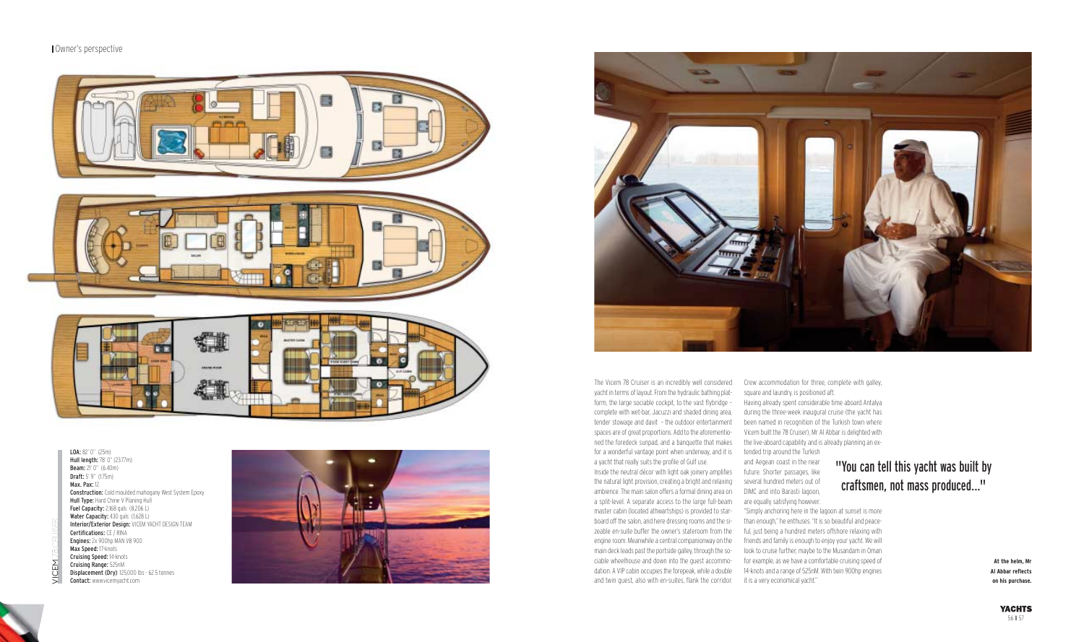The Vicem 78 Cruiser is an incredibly well considered yacht in terms of layout. From the hydraulic bathing platform, the large sociable cockpit, to the vast flybridge – complete with wet-bar, Jacuzzi and shaded dining area, tender stowage and davit – the outdoor entertainment spaces are of great proportions. Add to the aforementiofor a wonderful vantage point when underway, and it is tended trip around the Turkish a yacht that really suits the profile of Gulf use.

Inside the neutral décor with light oak joinery amplifies future. Shorter passages, like the natural light provision, creating a bright and relaxing ambience. The main salon offers a formal dining area on a split-level. A separate access to the large full-beam master cabin (located athwartships) is provided to starboard off the salon, and here dressing rooms and the sizeable en-suite buffer the owner's stateroom from the engine room. Meanwhile a central companionway on the main deck leads past the portside galley, through the sociable wheelhouse and down into the guest accommodation. A VIP cabin occupies the forepeak, while a double and twin guest, also with en-suites, flank the corridor.

Crew accommodation for three, complete with galley, square and laundry, is positioned aft.

ned the foredeck sunpad, and a banquette that makes the live-aboard capability and is already planning an ex-Vicem built the 78 Cruiser), Mr Al Abbar is delighted with and Aegean coast in the near several hundred meters out of DIMC and into Barasti lagoon, are equally satisfying however. "Simply anchoring here in the lagoon at sunset is more than enough," he enthuses. "It is so beautiful and peaceful, just being a hundred meters offshore relaxing with friends and family is enough to enjoy your yacht. We will look to cruise further, maybe to the Musandam in Oman for example, as we have a comfortable cruising speed of 14-knots and a range of 525nM. With twin 900hp engines it is a very economical yacht."

Having already spent considerable time aboard Antalya during the three-week inaugural cruise (the yacht has been named in recognition of the Turkish town where

LOA: 82' 0" (25m) Hull length: 78' 0" (23.77m) **Beam:** 21' 0" (6.40m) Draft: 5' 9'' (1.75m) Max. Pax: 12 **Construction:** Cold moulded mahogany West System Epoxy Hull Type: Hard Chine V Planing Hull **Fuel Capacity:** 2,168 gals (8,206 L) Water Capacity: 430 gals (1,628 L) Interior/Exterior Design: VICEM YACHT DESIGN TEAM Certifications: CE / RINA Engines: 2x 900hp MAN V8 900 Max Speed: 17-knots Cruising Speed: 14-knots Cruising Range: 525nM Displacement (Dry): 125,000 lbs - 62.5 tonnes Contact: www.vicemyacht.com

#### Owner's perspective



**At the helm, Mr Al Abbar reflects on his purchase.**

## "You can tell this yacht was built by craftsmen, not mass produced..."

VICEM

78 CRUISER